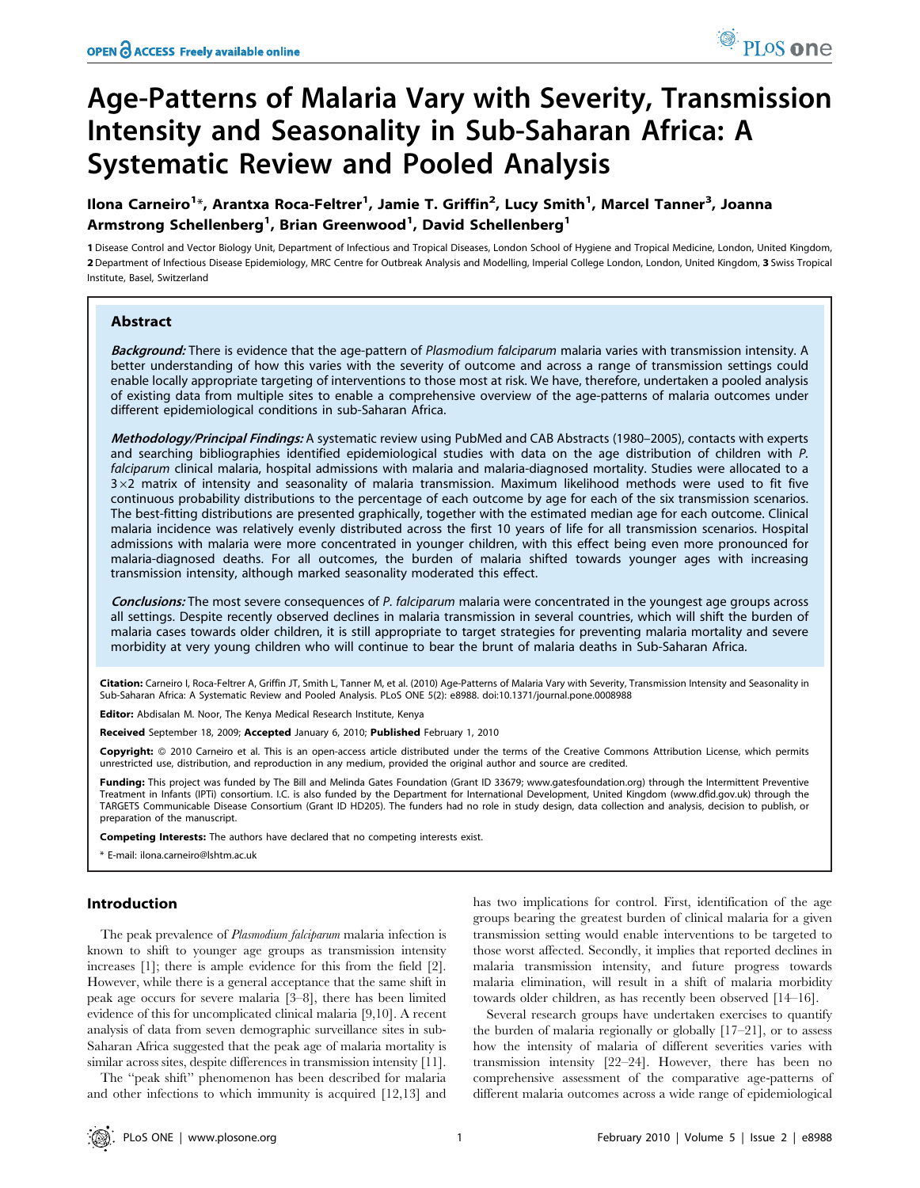# Age-Patterns of Malaria Vary with Severity, Transmission Intensity and Seasonality in Sub-Saharan Africa: A Systematic Review and Pooled Analysis

llona Carneiro<sup>1</sup>\*, Arantxa Roca-Feltrer<sup>1</sup>, Jamie T. Griffin<sup>2</sup>, Lucy Smith<sup>1</sup>, Marcel Tanner<sup>3</sup>, Joanna Armstrong Schellenberg<sup>1</sup>, Brian Greenwood<sup>1</sup>, David Schellenberg<sup>1</sup>

1 Disease Control and Vector Biology Unit, Department of Infectious and Tropical Diseases, London School of Hygiene and Tropical Medicine, London, United Kingdom, 2 Department of Infectious Disease Epidemiology, MRC Centre for Outbreak Analysis and Modelling, Imperial College London, London, United Kingdom, 3 Swiss Tropical Institute, Basel, Switzerland

# Abstract

Background: There is evidence that the age-pattern of Plasmodium falciparum malaria varies with transmission intensity. A better understanding of how this varies with the severity of outcome and across a range of transmission settings could enable locally appropriate targeting of interventions to those most at risk. We have, therefore, undertaken a pooled analysis of existing data from multiple sites to enable a comprehensive overview of the age-patterns of malaria outcomes under different epidemiological conditions in sub-Saharan Africa.

Methodology/Principal Findings: A systematic review using PubMed and CAB Abstracts (1980–2005), contacts with experts and searching bibliographies identified epidemiological studies with data on the age distribution of children with P. falciparum clinical malaria, hospital admissions with malaria and malaria-diagnosed mortality. Studies were allocated to a 3*6*2 matrix of intensity and seasonality of malaria transmission. Maximum likelihood methods were used to fit five continuous probability distributions to the percentage of each outcome by age for each of the six transmission scenarios. The best-fitting distributions are presented graphically, together with the estimated median age for each outcome. Clinical malaria incidence was relatively evenly distributed across the first 10 years of life for all transmission scenarios. Hospital admissions with malaria were more concentrated in younger children, with this effect being even more pronounced for malaria-diagnosed deaths. For all outcomes, the burden of malaria shifted towards younger ages with increasing transmission intensity, although marked seasonality moderated this effect.

Conclusions: The most severe consequences of P. falciparum malaria were concentrated in the youngest age groups across all settings. Despite recently observed declines in malaria transmission in several countries, which will shift the burden of malaria cases towards older children, it is still appropriate to target strategies for preventing malaria mortality and severe morbidity at very young children who will continue to bear the brunt of malaria deaths in Sub-Saharan Africa.

Citation: Carneiro I, Roca-Feltrer A, Griffin JT, Smith L, Tanner M, et al. (2010) Age-Patterns of Malaria Vary with Severity, Transmission Intensity and Seasonality in Sub-Saharan Africa: A Systematic Review and Pooled Analysis. PLoS ONE 5(2): e8988. doi:10.1371/journal.pone.0008988

Editor: Abdisalan M. Noor, The Kenya Medical Research Institute, Kenya

Received September 18, 2009; Accepted January 6, 2010; Published February 1, 2010

Copyright: @ 2010 Carneiro et al. This is an open-access article distributed under the terms of the Creative Commons Attribution License, which permits unrestricted use, distribution, and reproduction in any medium, provided the original author and source are credited.

Funding: This project was funded by The Bill and Melinda Gates Foundation (Grant ID 33679; www.gatesfoundation.org) through the Intermittent Preventive Treatment in Infants (IPTi) consortium. I.C. is also funded by the Department for International Development, United Kingdom (www.dfid.gov.uk) through the TARGETS Communicable Disease Consortium (Grant ID HD205). The funders had no role in study design, data collection and analysis, decision to publish, or preparation of the manuscript.

Competing Interests: The authors have declared that no competing interests exist.

E-mail: ilona.carneiro@lshtm.ac.uk

# Introduction

The peak prevalence of *Plasmodium falciparum* malaria infection is known to shift to younger age groups as transmission intensity increases [1]; there is ample evidence for this from the field [2]. However, while there is a general acceptance that the same shift in peak age occurs for severe malaria [3–8], there has been limited evidence of this for uncomplicated clinical malaria [9,10]. A recent analysis of data from seven demographic surveillance sites in sub-Saharan Africa suggested that the peak age of malaria mortality is similar across sites, despite differences in transmission intensity [11].

The ''peak shift'' phenomenon has been described for malaria and other infections to which immunity is acquired [12,13] and

has two implications for control. First, identification of the age groups bearing the greatest burden of clinical malaria for a given transmission setting would enable interventions to be targeted to those worst affected. Secondly, it implies that reported declines in malaria transmission intensity, and future progress towards malaria elimination, will result in a shift of malaria morbidity towards older children, as has recently been observed [14–16].

Several research groups have undertaken exercises to quantify the burden of malaria regionally or globally [17–21], or to assess how the intensity of malaria of different severities varies with transmission intensity [22–24]. However, there has been no comprehensive assessment of the comparative age-patterns of different malaria outcomes across a wide range of epidemiological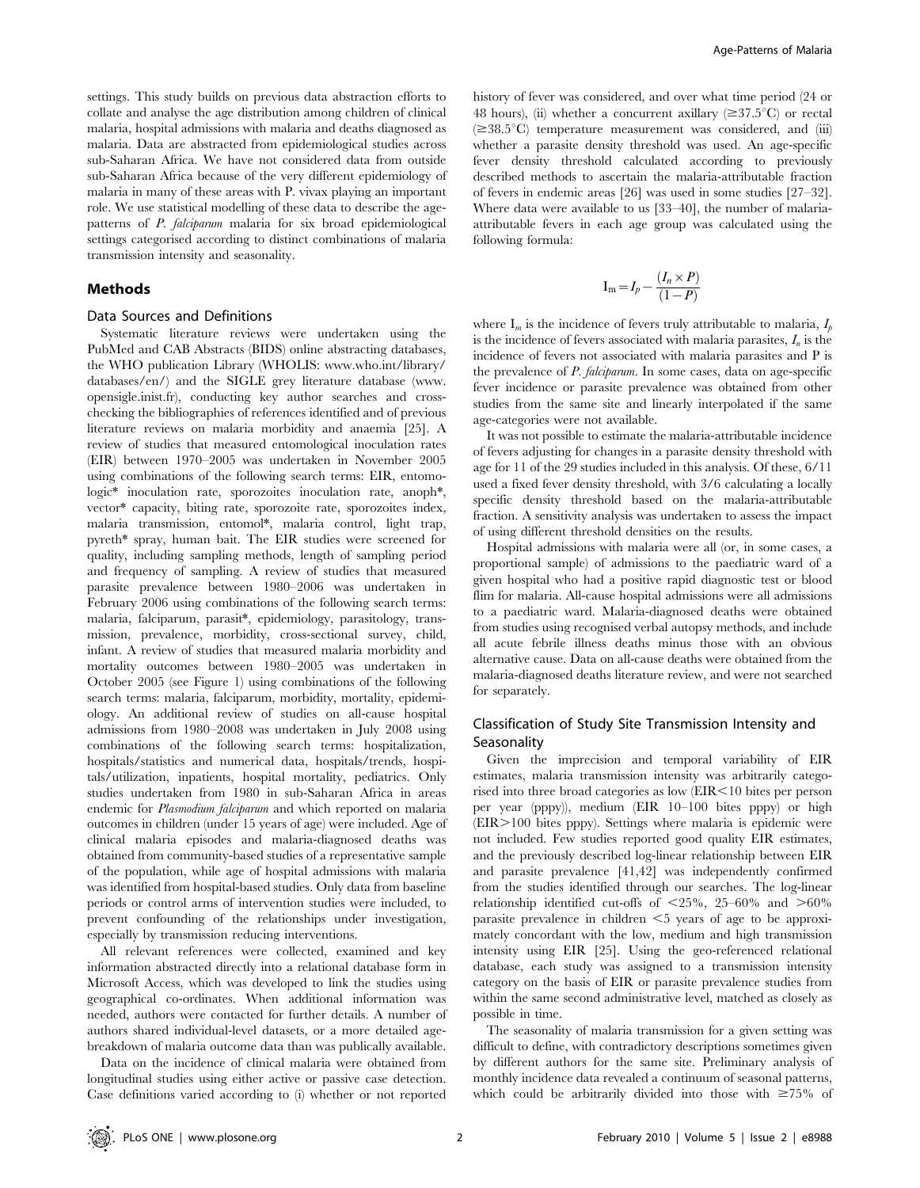settings. This study builds on previous data abstraction efforts to collate and analyse the age distribution among children of clinical malaria, hospital admissions with malaria and deaths diagnosed as malaria. Data are abstracted from epidemiological studies across sub-Saharan Africa. We have not considered data from outside sub-Saharan Africa because of the very different epidemiology of malaria in many of these areas with P. vivax playing an important role. We use statistical modelling of these data to describe the agepatterns of P. falciparum malaria for six broad epidemiological settings categorised according to distinct combinations of malaria transmission intensity and seasonality.

# Methods

#### Data Sources and Definitions

Systematic literature reviews were undertaken using the PubMed and CAB Abstracts (BIDS) online abstracting databases, the WHO publication Library (WHOLIS: www.who.int/library/ databases/en/) and the SIGLE grey literature database (www. opensigle.inist.fr), conducting key author searches and crosschecking the bibliographies of references identified and of previous literature reviews on malaria morbidity and anaemia [25]. A review of studies that measured entomological inoculation rates (EIR) between 1970–2005 was undertaken in November 2005 using combinations of the following search terms: EIR, entomologic\* inoculation rate, sporozoites inoculation rate, anoph\*, vector\* capacity, biting rate, sporozoite rate, sporozoites index, malaria transmission, entomol\*, malaria control, light trap, pyreth\* spray, human bait. The EIR studies were screened for quality, including sampling methods, length of sampling period and frequency of sampling. A review of studies that measured parasite prevalence between 1980–2006 was undertaken in February 2006 using combinations of the following search terms: malaria, falciparum, parasit\*, epidemiology, parasitology, transmission, prevalence, morbidity, cross-sectional survey, child, infant. A review of studies that measured malaria morbidity and mortality outcomes between 1980–2005 was undertaken in October 2005 (see Figure 1) using combinations of the following search terms: malaria, falciparum, morbidity, mortality, epidemiology. An additional review of studies on all-cause hospital admissions from 1980–2008 was undertaken in July 2008 using combinations of the following search terms: hospitalization, hospitals/statistics and numerical data, hospitals/trends, hospitals/utilization, inpatients, hospital mortality, pediatrics. Only studies undertaken from 1980 in sub-Saharan Africa in areas endemic for Plasmodium falciparum and which reported on malaria outcomes in children (under 15 years of age) were included. Age of clinical malaria episodes and malaria-diagnosed deaths was obtained from community-based studies of a representative sample of the population, while age of hospital admissions with malaria was identified from hospital-based studies. Only data from baseline periods or control arms of intervention studies were included, to prevent confounding of the relationships under investigation, especially by transmission reducing interventions.

All relevant references were collected, examined and key information abstracted directly into a relational database form in Microsoft Access, which was developed to link the studies using geographical co-ordinates. When additional information was needed, authors were contacted for further details. A number of authors shared individual-level datasets, or a more detailed agebreakdown of malaria outcome data than was publically available.

Data on the incidence of clinical malaria were obtained from longitudinal studies using either active or passive case detection. Case definitions varied according to (i) whether or not reported history of fever was considered, and over what time period (24 or 48 hours), (ii) whether a concurrent axillary  $(\geq 37.5^{\circ}C)$  or rectal  $(\geq 38.5^{\circ}C)$  temperature measurement was considered, and (iii) whether a parasite density threshold was used. An age-specific fever density threshold calculated according to previously described methods to ascertain the malaria-attributable fraction of fevers in endemic areas [26] was used in some studies [27–32]. Where data were available to us [33–40], the number of malariaattributable fevers in each age group was calculated using the following formula:

$$
\mathbf{I}_{\mathrm{m}}\!=\!I_{p}\!-\!\frac{\left(I_{n}\!\times\!P\right)}{\left(1-P\right)}
$$

where  $I_m$  is the incidence of fevers truly attributable to malaria,  $I_b$ is the incidence of fevers associated with malaria parasites,  $I_n$  is the incidence of fevers not associated with malaria parasites and P is the prevalence of P. falciparum. In some cases, data on age-specific fever incidence or parasite prevalence was obtained from other studies from the same site and linearly interpolated if the same age-categories were not available.

It was not possible to estimate the malaria-attributable incidence of fevers adjusting for changes in a parasite density threshold with age for 11 of the 29 studies included in this analysis. Of these, 6/11 used a fixed fever density threshold, with 3/6 calculating a locally specific density threshold based on the malaria-attributable fraction. A sensitivity analysis was undertaken to assess the impact of using different threshold densities on the results.

Hospital admissions with malaria were all (or, in some cases, a proportional sample) of admissions to the paediatric ward of a given hospital who had a positive rapid diagnostic test or blood flim for malaria. All-cause hospital admissions were all admissions to a paediatric ward. Malaria-diagnosed deaths were obtained from studies using recognised verbal autopsy methods, and include all acute febrile illness deaths minus those with an obvious alternative cause. Data on all-cause deaths were obtained from the malaria-diagnosed deaths literature review, and were not searched for separately.

# Classification of Study Site Transmission Intensity and **Seasonality**

Given the imprecision and temporal variability of EIR estimates, malaria transmission intensity was arbitrarily categorised into three broad categories as low  $\triangle EIR<10$  bites per person per year (pppy)), medium (EIR 10–100 bites pppy) or high (EIR>100 bites pppy). Settings where malaria is epidemic were not included. Few studies reported good quality EIR estimates, and the previously described log-linear relationship between EIR and parasite prevalence [41,42] was independently confirmed from the studies identified through our searches. The log-linear relationship identified cut-offs of  $\leq 25\%$ , 25–60% and  $\geq 60\%$ parasite prevalence in children  $\leq$ 5 years of age to be approximately concordant with the low, medium and high transmission intensity using EIR [25]. Using the geo-referenced relational database, each study was assigned to a transmission intensity category on the basis of EIR or parasite prevalence studies from within the same second administrative level, matched as closely as possible in time.

The seasonality of malaria transmission for a given setting was difficult to define, with contradictory descriptions sometimes given by different authors for the same site. Preliminary analysis of monthly incidence data revealed a continuum of seasonal patterns, which could be arbitrarily divided into those with  $\geq 75\%$  of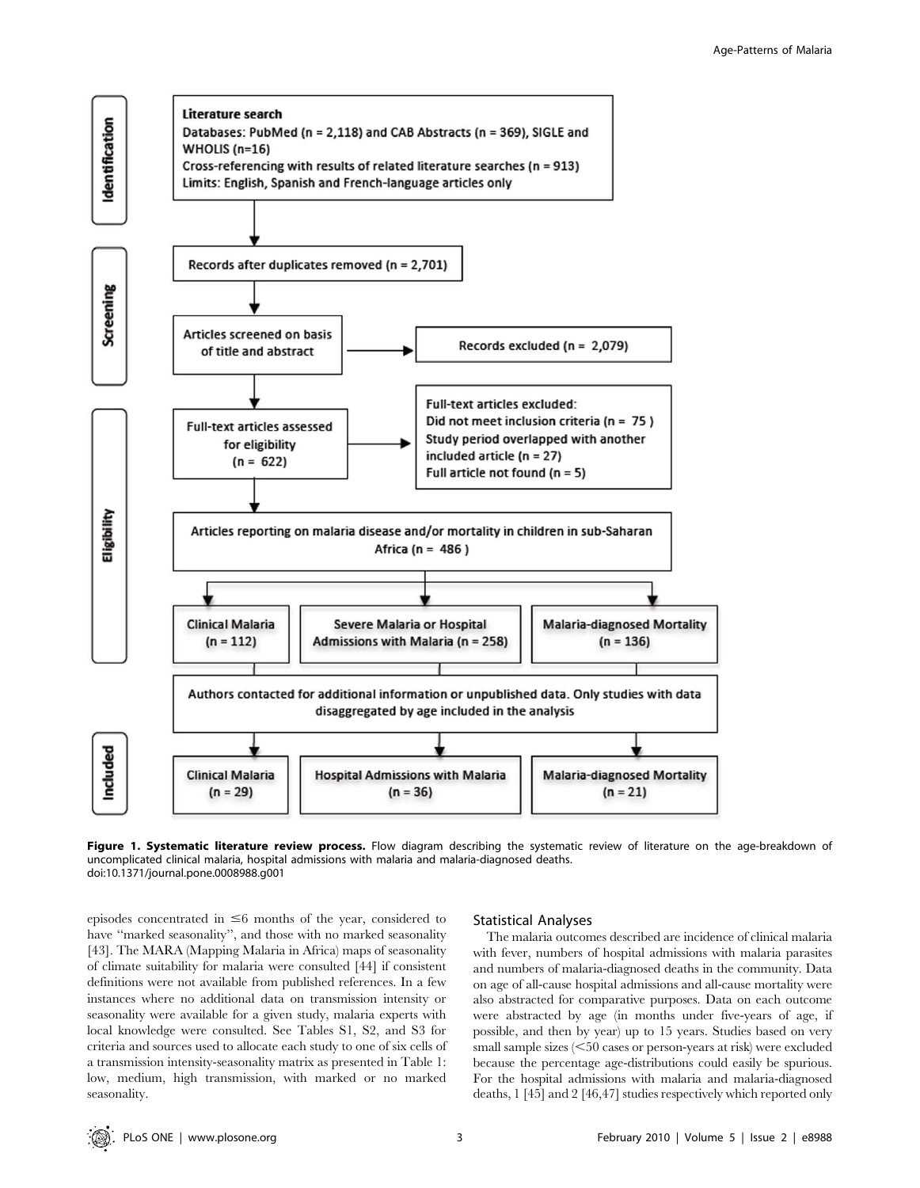

Figure 1. Systematic literature review process. Flow diagram describing the systematic review of literature on the age-breakdown of uncomplicated clinical malaria, hospital admissions with malaria and malaria-diagnosed deaths. doi:10.1371/journal.pone.0008988.g001

episodes concentrated in  $\leq 6$  months of the year, considered to have ''marked seasonality'', and those with no marked seasonality [43]. The MARA (Mapping Malaria in Africa) maps of seasonality of climate suitability for malaria were consulted [44] if consistent definitions were not available from published references. In a few instances where no additional data on transmission intensity or seasonality were available for a given study, malaria experts with local knowledge were consulted. See Tables S1, S2, and S3 for criteria and sources used to allocate each study to one of six cells of a transmission intensity-seasonality matrix as presented in Table 1: low, medium, high transmission, with marked or no marked seasonality.

#### Statistical Analyses

The malaria outcomes described are incidence of clinical malaria with fever, numbers of hospital admissions with malaria parasites and numbers of malaria-diagnosed deaths in the community. Data on age of all-cause hospital admissions and all-cause mortality were also abstracted for comparative purposes. Data on each outcome were abstracted by age (in months under five-years of age, if possible, and then by year) up to 15 years. Studies based on very small sample sizes  $\leq 50$  cases or person-years at risk) were excluded because the percentage age-distributions could easily be spurious. For the hospital admissions with malaria and malaria-diagnosed deaths, 1 [45] and 2 [46,47] studies respectively which reported only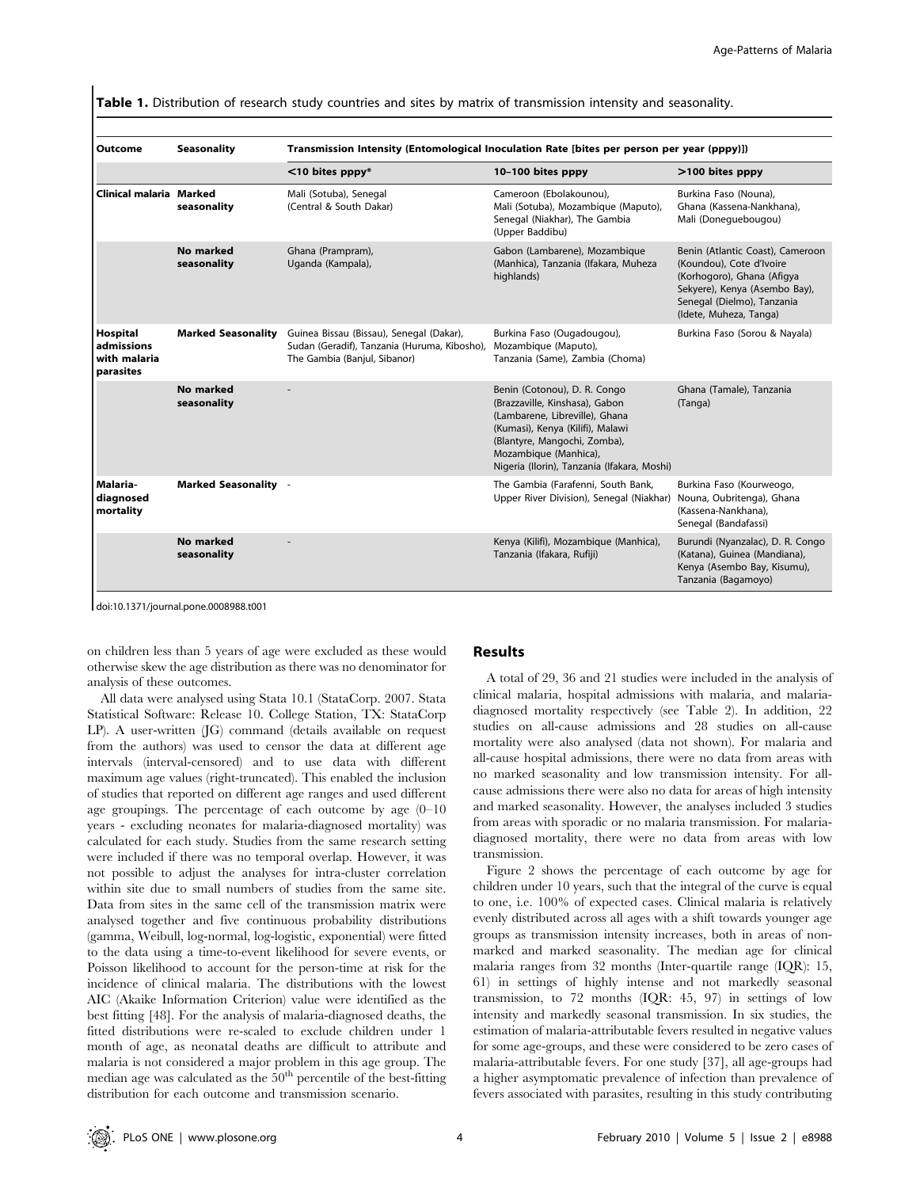Table 1. Distribution of research study countries and sites by matrix of transmission intensity and seasonality.

| <b>Outcome</b>                                             | <b>Seasonality</b>          | Transmission Intensity (Entomological Inoculation Rate [bites per person per year (pppy)])                               |                                                                                                                                                                                                                                              |                                                                                                                                                                                     |  |  |
|------------------------------------------------------------|-----------------------------|--------------------------------------------------------------------------------------------------------------------------|----------------------------------------------------------------------------------------------------------------------------------------------------------------------------------------------------------------------------------------------|-------------------------------------------------------------------------------------------------------------------------------------------------------------------------------------|--|--|
|                                                            |                             | $<$ 10 bites pppy*                                                                                                       | 10-100 bites pppy                                                                                                                                                                                                                            | >100 bites pppy                                                                                                                                                                     |  |  |
| Clinical malaria Marked                                    | seasonality                 | Mali (Sotuba), Senegal<br>(Central & South Dakar)                                                                        | Cameroon (Ebolakounou).<br>Mali (Sotuba), Mozambique (Maputo),<br>Senegal (Niakhar), The Gambia<br>(Upper Baddibu)                                                                                                                           | Burkina Faso (Nouna),<br>Ghana (Kassena-Nankhana),<br>Mali (Donequebougou)                                                                                                          |  |  |
|                                                            | No marked<br>seasonality    | Ghana (Prampram),<br>Uganda (Kampala),                                                                                   | Gabon (Lambarene), Mozambique<br>(Manhica), Tanzania (Ifakara, Muheza<br>highlands)                                                                                                                                                          | Benin (Atlantic Coast), Cameroon<br>(Koundou), Cote d'Ivoire<br>(Korhogoro), Ghana (Afigya<br>Sekyere), Kenya (Asembo Bay),<br>Senegal (Dielmo), Tanzania<br>(Idete, Muheza, Tanga) |  |  |
| <b>Hospital</b><br>admissions<br>with malaria<br>parasites | <b>Marked Seasonality</b>   | Guinea Bissau (Bissau), Senegal (Dakar),<br>Sudan (Geradif), Tanzania (Huruma, Kibosho),<br>The Gambia (Banjul, Sibanor) | Burkina Faso (Ougadougou),<br>Mozambique (Maputo),<br>Tanzania (Same), Zambia (Choma)                                                                                                                                                        | Burkina Faso (Sorou & Nayala)                                                                                                                                                       |  |  |
|                                                            | No marked<br>seasonality    |                                                                                                                          | Benin (Cotonou), D. R. Congo<br>(Brazzaville, Kinshasa), Gabon<br>(Lambarene, Libreville), Ghana<br>(Kumasi), Kenya (Kilifi), Malawi<br>(Blantyre, Mangochi, Zomba),<br>Mozambique (Manhica),<br>Nigeria (Ilorin), Tanzania (Ifakara, Moshi) | Ghana (Tamale), Tanzania<br>(Tanga)                                                                                                                                                 |  |  |
| Malaria-<br>diagnosed<br>mortality                         | <b>Marked Seasonality -</b> |                                                                                                                          | The Gambia (Farafenni, South Bank,<br>Upper River Division), Senegal (Niakhar) Nouna, Oubritenga), Ghana                                                                                                                                     | Burkina Faso (Kourweogo,<br>(Kassena-Nankhana),<br>Senegal (Bandafassi)                                                                                                             |  |  |
|                                                            | No marked<br>seasonality    |                                                                                                                          | Kenya (Kilifi), Mozambique (Manhica),<br>Tanzania (Ifakara, Rufiji)                                                                                                                                                                          | Burundi (Nyanzalac), D. R. Congo<br>(Katana), Guinea (Mandiana),<br>Kenya (Asembo Bay, Kisumu),<br>Tanzania (Bagamoyo)                                                              |  |  |

doi:10.1371/journal.pone.0008988.t001

on children less than 5 years of age were excluded as these would otherwise skew the age distribution as there was no denominator for analysis of these outcomes.

All data were analysed using Stata 10.1 (StataCorp. 2007. Stata Statistical Software: Release 10. College Station, TX: StataCorp LP). A user-written (JG) command (details available on request from the authors) was used to censor the data at different age intervals (interval-censored) and to use data with different maximum age values (right-truncated). This enabled the inclusion of studies that reported on different age ranges and used different age groupings. The percentage of each outcome by age  $(0-10)$ years - excluding neonates for malaria-diagnosed mortality) was calculated for each study. Studies from the same research setting were included if there was no temporal overlap. However, it was not possible to adjust the analyses for intra-cluster correlation within site due to small numbers of studies from the same site. Data from sites in the same cell of the transmission matrix were analysed together and five continuous probability distributions (gamma, Weibull, log-normal, log-logistic, exponential) were fitted to the data using a time-to-event likelihood for severe events, or Poisson likelihood to account for the person-time at risk for the incidence of clinical malaria. The distributions with the lowest AIC (Akaike Information Criterion) value were identified as the best fitting [48]. For the analysis of malaria-diagnosed deaths, the fitted distributions were re-scaled to exclude children under 1 month of age, as neonatal deaths are difficult to attribute and malaria is not considered a major problem in this age group. The median age was calculated as the  $50<sup>th</sup>$  percentile of the best-fitting distribution for each outcome and transmission scenario.

### Results

A total of 29, 36 and 21 studies were included in the analysis of clinical malaria, hospital admissions with malaria, and malariadiagnosed mortality respectively (see Table 2). In addition, 22 studies on all-cause admissions and 28 studies on all-cause mortality were also analysed (data not shown). For malaria and all-cause hospital admissions, there were no data from areas with no marked seasonality and low transmission intensity. For allcause admissions there were also no data for areas of high intensity and marked seasonality. However, the analyses included 3 studies from areas with sporadic or no malaria transmission. For malariadiagnosed mortality, there were no data from areas with low transmission.

Figure 2 shows the percentage of each outcome by age for children under 10 years, such that the integral of the curve is equal to one, i.e. 100% of expected cases. Clinical malaria is relatively evenly distributed across all ages with a shift towards younger age groups as transmission intensity increases, both in areas of nonmarked and marked seasonality. The median age for clinical malaria ranges from 32 months (Inter-quartile range (IQR): 15, 61) in settings of highly intense and not markedly seasonal transmission, to 72 months (IQR: 45, 97) in settings of low intensity and markedly seasonal transmission. In six studies, the estimation of malaria-attributable fevers resulted in negative values for some age-groups, and these were considered to be zero cases of malaria-attributable fevers. For one study [37], all age-groups had a higher asymptomatic prevalence of infection than prevalence of fevers associated with parasites, resulting in this study contributing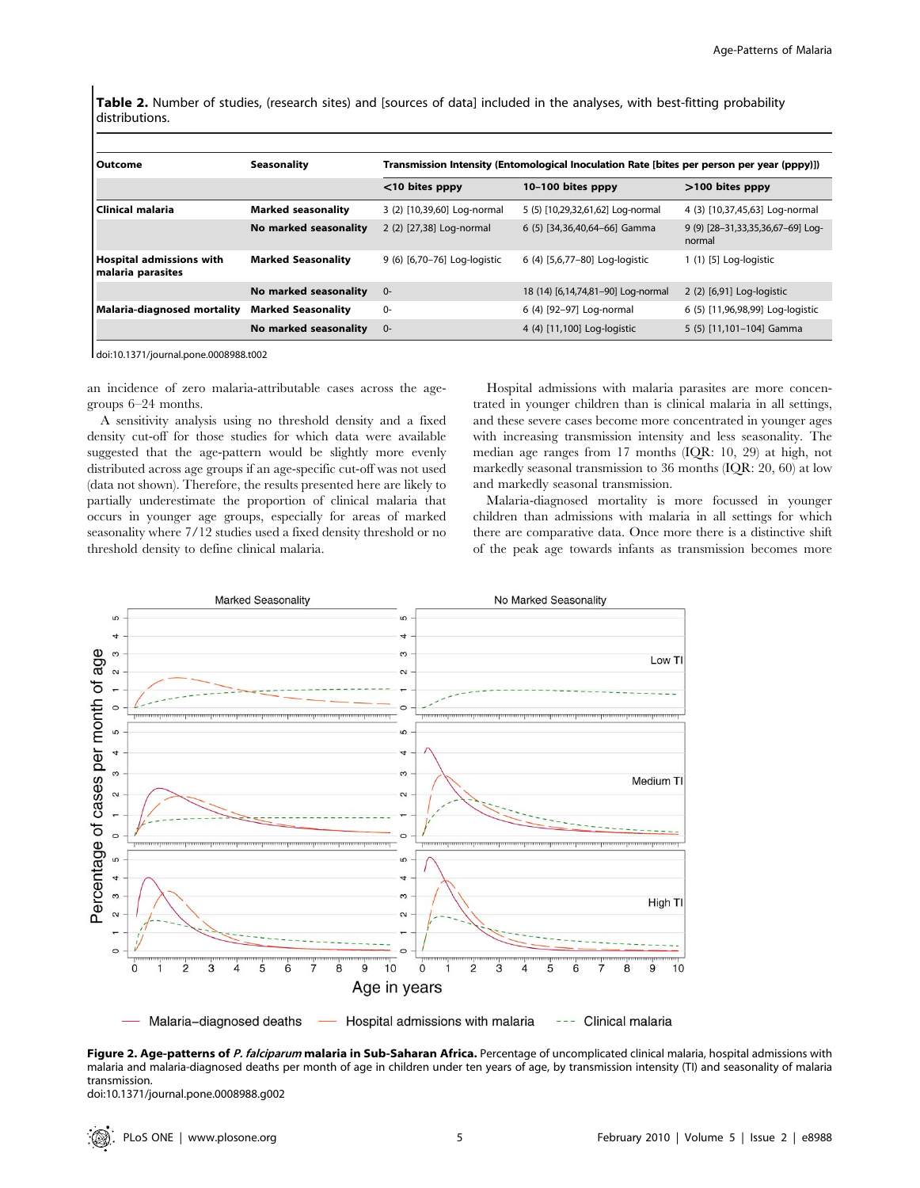Table 2. Number of studies, (research sites) and [sources of data] included in the analyses, with best-fitting probability distributions.

| l Outcome                                     | <b>Seasonality</b>        | Transmission Intensity (Entomological Inoculation Rate [bites per person per year (pppy)]) |                                    |                                             |  |
|-----------------------------------------------|---------------------------|--------------------------------------------------------------------------------------------|------------------------------------|---------------------------------------------|--|
|                                               |                           | <10 bites pppy                                                                             | 10-100 bites pppy                  | $>100$ bites pppy                           |  |
| l Clinical malaria                            | <b>Marked seasonality</b> | 3 (2) [10,39,60] Log-normal                                                                | 5 (5) [10,29,32,61,62] Log-normal  | 4 (3) [10,37,45,63] Log-normal              |  |
|                                               | No marked seasonality     | 2 (2) [27,38] Log-normal                                                                   | 6 (5) [34,36,40,64-66] Gamma       | 9 (9) [28-31,33,35,36,67-69] Loq-<br>normal |  |
| Hospital admissions with<br>malaria parasites | <b>Marked Seasonality</b> | 9 (6) [6,70-76] Log-logistic                                                               | 6 (4) [5,6,77-80] Log-logistic     | 1 (1) [5] Log-logistic                      |  |
|                                               | No marked seasonality     | $0 -$                                                                                      | 18 (14) [6,14,74,81-90] Log-normal | 2 (2) [6,91] Log-logistic                   |  |
| Malaria-diagnosed mortality                   | <b>Marked Seasonality</b> | $0-$                                                                                       | 6 (4) [92-97] Log-normal           | 6 (5) [11,96,98,99] Log-logistic            |  |
|                                               | No marked seasonality     | $0-$                                                                                       | 4 (4) [11,100] Log-logistic        | 5 (5) [11,101-104] Gamma                    |  |

doi:10.1371/journal.pone.0008988.t002

an incidence of zero malaria-attributable cases across the agegroups 6–24 months.

A sensitivity analysis using no threshold density and a fixed density cut-off for those studies for which data were available suggested that the age-pattern would be slightly more evenly distributed across age groups if an age-specific cut-off was not used (data not shown). Therefore, the results presented here are likely to partially underestimate the proportion of clinical malaria that occurs in younger age groups, especially for areas of marked seasonality where 7/12 studies used a fixed density threshold or no threshold density to define clinical malaria.

Hospital admissions with malaria parasites are more concentrated in younger children than is clinical malaria in all settings, and these severe cases become more concentrated in younger ages with increasing transmission intensity and less seasonality. The median age ranges from 17 months (IQR: 10, 29) at high, not markedly seasonal transmission to 36 months (IQR: 20, 60) at low and markedly seasonal transmission.

Malaria-diagnosed mortality is more focussed in younger children than admissions with malaria in all settings for which there are comparative data. Once more there is a distinctive shift of the peak age towards infants as transmission becomes more



Figure 2. Age-patterns of P. falciparum malaria in Sub-Saharan Africa. Percentage of uncomplicated clinical malaria, hospital admissions with malaria and malaria-diagnosed deaths per month of age in children under ten years of age, by transmission intensity (TI) and seasonality of malaria transmission.

doi:10.1371/journal.pone.0008988.g002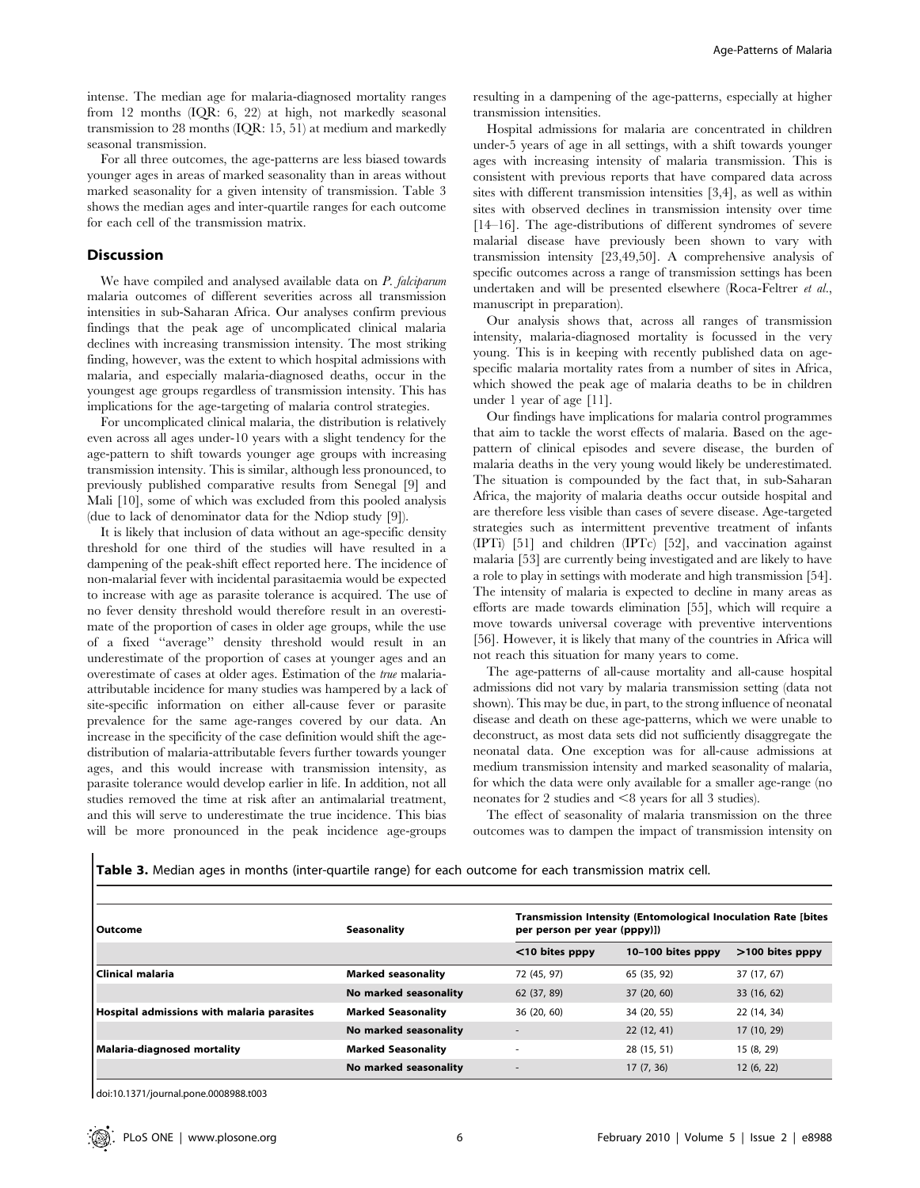intense. The median age for malaria-diagnosed mortality ranges from 12 months (IQR: 6, 22) at high, not markedly seasonal transmission to 28 months (IQR: 15, 51) at medium and markedly seasonal transmission.

For all three outcomes, the age-patterns are less biased towards younger ages in areas of marked seasonality than in areas without marked seasonality for a given intensity of transmission. Table 3 shows the median ages and inter-quartile ranges for each outcome for each cell of the transmission matrix.

# Discussion

We have compiled and analysed available data on P. falciparum malaria outcomes of different severities across all transmission intensities in sub-Saharan Africa. Our analyses confirm previous findings that the peak age of uncomplicated clinical malaria declines with increasing transmission intensity. The most striking finding, however, was the extent to which hospital admissions with malaria, and especially malaria-diagnosed deaths, occur in the youngest age groups regardless of transmission intensity. This has implications for the age-targeting of malaria control strategies.

For uncomplicated clinical malaria, the distribution is relatively even across all ages under-10 years with a slight tendency for the age-pattern to shift towards younger age groups with increasing transmission intensity. This is similar, although less pronounced, to previously published comparative results from Senegal [9] and Mali [10], some of which was excluded from this pooled analysis (due to lack of denominator data for the Ndiop study [9]).

It is likely that inclusion of data without an age-specific density threshold for one third of the studies will have resulted in a dampening of the peak-shift effect reported here. The incidence of non-malarial fever with incidental parasitaemia would be expected to increase with age as parasite tolerance is acquired. The use of no fever density threshold would therefore result in an overestimate of the proportion of cases in older age groups, while the use of a fixed ''average'' density threshold would result in an underestimate of the proportion of cases at younger ages and an overestimate of cases at older ages. Estimation of the true malariaattributable incidence for many studies was hampered by a lack of site-specific information on either all-cause fever or parasite prevalence for the same age-ranges covered by our data. An increase in the specificity of the case definition would shift the agedistribution of malaria-attributable fevers further towards younger ages, and this would increase with transmission intensity, as parasite tolerance would develop earlier in life. In addition, not all studies removed the time at risk after an antimalarial treatment, and this will serve to underestimate the true incidence. This bias will be more pronounced in the peak incidence age-groups

resulting in a dampening of the age-patterns, especially at higher transmission intensities.

Hospital admissions for malaria are concentrated in children under-5 years of age in all settings, with a shift towards younger ages with increasing intensity of malaria transmission. This is consistent with previous reports that have compared data across sites with different transmission intensities [3,4], as well as within sites with observed declines in transmission intensity over time [14–16]. The age-distributions of different syndromes of severe malarial disease have previously been shown to vary with transmission intensity [23,49,50]. A comprehensive analysis of specific outcomes across a range of transmission settings has been undertaken and will be presented elsewhere (Roca-Feltrer et al., manuscript in preparation).

Our analysis shows that, across all ranges of transmission intensity, malaria-diagnosed mortality is focussed in the very young. This is in keeping with recently published data on agespecific malaria mortality rates from a number of sites in Africa, which showed the peak age of malaria deaths to be in children under 1 year of age [11].

Our findings have implications for malaria control programmes that aim to tackle the worst effects of malaria. Based on the agepattern of clinical episodes and severe disease, the burden of malaria deaths in the very young would likely be underestimated. The situation is compounded by the fact that, in sub-Saharan Africa, the majority of malaria deaths occur outside hospital and are therefore less visible than cases of severe disease. Age-targeted strategies such as intermittent preventive treatment of infants (IPTi) [51] and children (IPTc) [52], and vaccination against malaria [53] are currently being investigated and are likely to have a role to play in settings with moderate and high transmission [54]. The intensity of malaria is expected to decline in many areas as efforts are made towards elimination [55], which will require a move towards universal coverage with preventive interventions [56]. However, it is likely that many of the countries in Africa will not reach this situation for many years to come.

The age-patterns of all-cause mortality and all-cause hospital admissions did not vary by malaria transmission setting (data not shown). This may be due, in part, to the strong influence of neonatal disease and death on these age-patterns, which we were unable to deconstruct, as most data sets did not sufficiently disaggregate the neonatal data. One exception was for all-cause admissions at medium transmission intensity and marked seasonality of malaria, for which the data were only available for a smaller age-range (no neonates for 2 studies and  $\leq$ 8 years for all 3 studies).

The effect of seasonality of malaria transmission on the three outcomes was to dampen the impact of transmission intensity on

| l Outcome                                  | <b>Seasonality</b>        |                   | Transmission Intensity (Entomological Inoculation Rate [bites<br>per person per year (pppy)]) |                 |  |
|--------------------------------------------|---------------------------|-------------------|-----------------------------------------------------------------------------------------------|-----------------|--|
|                                            |                           | $<$ 10 bites pppy | 10-100 bites pppy                                                                             | >100 bites pppy |  |
| l Clinical malaria                         | <b>Marked seasonality</b> | 72 (45, 97)       | 65 (35, 92)                                                                                   | 37 (17, 67)     |  |
|                                            | No marked seasonality     | 62 (37, 89)       | 37 (20, 60)                                                                                   | 33 (16, 62)     |  |
| Hospital admissions with malaria parasites | <b>Marked Seasonality</b> | 36 (20, 60)       | 34 (20, 55)                                                                                   | 22 (14, 34)     |  |
|                                            | No marked seasonality     |                   | 22(12, 41)                                                                                    | 17 (10, 29)     |  |
| Malaria-diagnosed mortality                | <b>Marked Seasonality</b> |                   | 28 (15, 51)                                                                                   | 15 (8, 29)      |  |
|                                            | No marked seasonality     | ۰                 | 17(7, 36)                                                                                     | 12(6, 22)       |  |
|                                            |                           |                   |                                                                                               |                 |  |

doi:10.1371/journal.pone.0008988.t003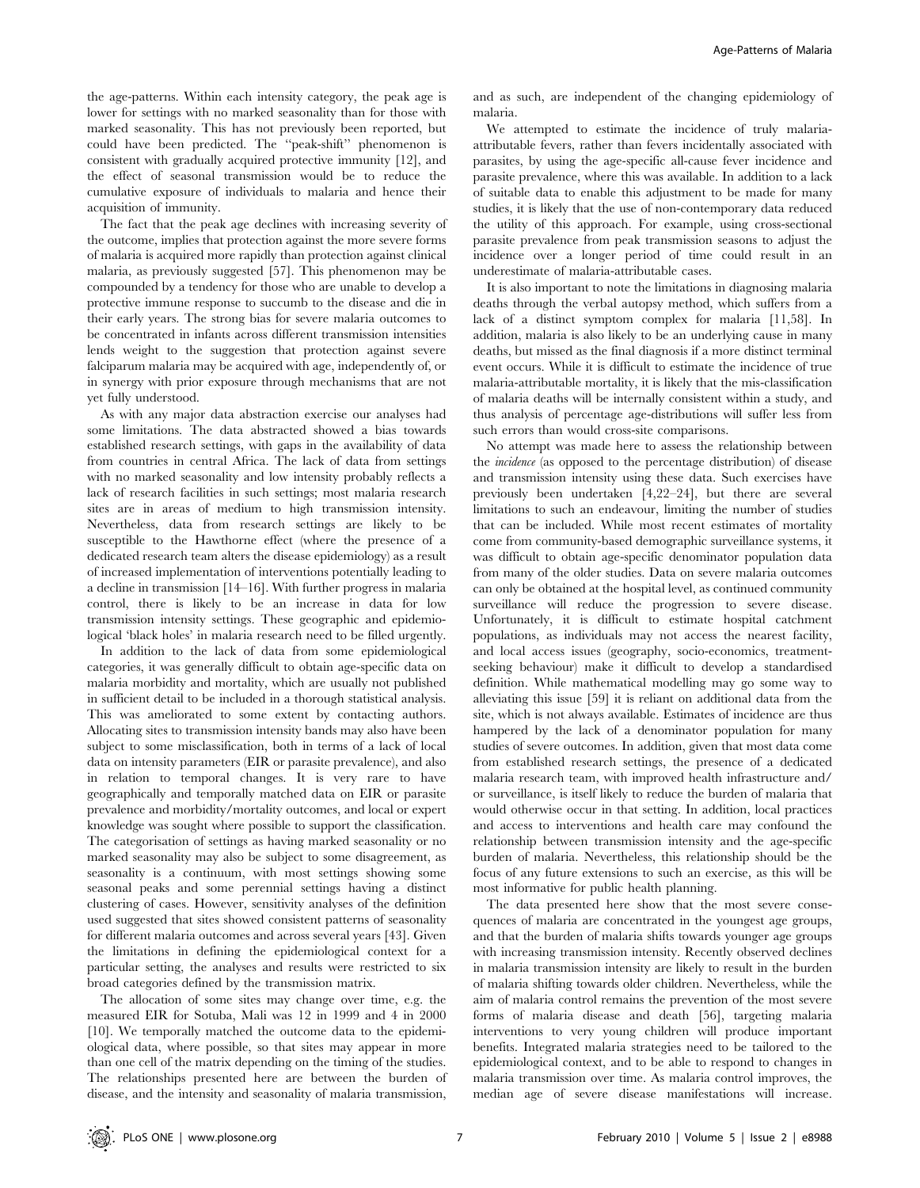the age-patterns. Within each intensity category, the peak age is lower for settings with no marked seasonality than for those with marked seasonality. This has not previously been reported, but could have been predicted. The ''peak-shift'' phenomenon is consistent with gradually acquired protective immunity [12], and the effect of seasonal transmission would be to reduce the cumulative exposure of individuals to malaria and hence their acquisition of immunity.

The fact that the peak age declines with increasing severity of the outcome, implies that protection against the more severe forms of malaria is acquired more rapidly than protection against clinical malaria, as previously suggested [57]. This phenomenon may be compounded by a tendency for those who are unable to develop a protective immune response to succumb to the disease and die in their early years. The strong bias for severe malaria outcomes to be concentrated in infants across different transmission intensities lends weight to the suggestion that protection against severe falciparum malaria may be acquired with age, independently of, or in synergy with prior exposure through mechanisms that are not yet fully understood.

As with any major data abstraction exercise our analyses had some limitations. The data abstracted showed a bias towards established research settings, with gaps in the availability of data from countries in central Africa. The lack of data from settings with no marked seasonality and low intensity probably reflects a lack of research facilities in such settings; most malaria research sites are in areas of medium to high transmission intensity. Nevertheless, data from research settings are likely to be susceptible to the Hawthorne effect (where the presence of a dedicated research team alters the disease epidemiology) as a result of increased implementation of interventions potentially leading to a decline in transmission [14–16]. With further progress in malaria control, there is likely to be an increase in data for low transmission intensity settings. These geographic and epidemiological 'black holes' in malaria research need to be filled urgently.

In addition to the lack of data from some epidemiological categories, it was generally difficult to obtain age-specific data on malaria morbidity and mortality, which are usually not published in sufficient detail to be included in a thorough statistical analysis. This was ameliorated to some extent by contacting authors. Allocating sites to transmission intensity bands may also have been subject to some misclassification, both in terms of a lack of local data on intensity parameters (EIR or parasite prevalence), and also in relation to temporal changes. It is very rare to have geographically and temporally matched data on EIR or parasite prevalence and morbidity/mortality outcomes, and local or expert knowledge was sought where possible to support the classification. The categorisation of settings as having marked seasonality or no marked seasonality may also be subject to some disagreement, as seasonality is a continuum, with most settings showing some seasonal peaks and some perennial settings having a distinct clustering of cases. However, sensitivity analyses of the definition used suggested that sites showed consistent patterns of seasonality for different malaria outcomes and across several years [43]. Given the limitations in defining the epidemiological context for a particular setting, the analyses and results were restricted to six broad categories defined by the transmission matrix.

The allocation of some sites may change over time, e.g. the measured EIR for Sotuba, Mali was 12 in 1999 and 4 in 2000 [10]. We temporally matched the outcome data to the epidemiological data, where possible, so that sites may appear in more than one cell of the matrix depending on the timing of the studies. The relationships presented here are between the burden of disease, and the intensity and seasonality of malaria transmission,

and as such, are independent of the changing epidemiology of malaria.

We attempted to estimate the incidence of truly malariaattributable fevers, rather than fevers incidentally associated with parasites, by using the age-specific all-cause fever incidence and parasite prevalence, where this was available. In addition to a lack of suitable data to enable this adjustment to be made for many studies, it is likely that the use of non-contemporary data reduced the utility of this approach. For example, using cross-sectional parasite prevalence from peak transmission seasons to adjust the incidence over a longer period of time could result in an underestimate of malaria-attributable cases.

It is also important to note the limitations in diagnosing malaria deaths through the verbal autopsy method, which suffers from a lack of a distinct symptom complex for malaria [11,58]. In addition, malaria is also likely to be an underlying cause in many deaths, but missed as the final diagnosis if a more distinct terminal event occurs. While it is difficult to estimate the incidence of true malaria-attributable mortality, it is likely that the mis-classification of malaria deaths will be internally consistent within a study, and thus analysis of percentage age-distributions will suffer less from such errors than would cross-site comparisons.

No attempt was made here to assess the relationship between the incidence (as opposed to the percentage distribution) of disease and transmission intensity using these data. Such exercises have previously been undertaken [4,22–24], but there are several limitations to such an endeavour, limiting the number of studies that can be included. While most recent estimates of mortality come from community-based demographic surveillance systems, it was difficult to obtain age-specific denominator population data from many of the older studies. Data on severe malaria outcomes can only be obtained at the hospital level, as continued community surveillance will reduce the progression to severe disease. Unfortunately, it is difficult to estimate hospital catchment populations, as individuals may not access the nearest facility, and local access issues (geography, socio-economics, treatmentseeking behaviour) make it difficult to develop a standardised definition. While mathematical modelling may go some way to alleviating this issue [59] it is reliant on additional data from the site, which is not always available. Estimates of incidence are thus hampered by the lack of a denominator population for many studies of severe outcomes. In addition, given that most data come from established research settings, the presence of a dedicated malaria research team, with improved health infrastructure and/ or surveillance, is itself likely to reduce the burden of malaria that would otherwise occur in that setting. In addition, local practices and access to interventions and health care may confound the relationship between transmission intensity and the age-specific burden of malaria. Nevertheless, this relationship should be the focus of any future extensions to such an exercise, as this will be most informative for public health planning.

The data presented here show that the most severe consequences of malaria are concentrated in the youngest age groups, and that the burden of malaria shifts towards younger age groups with increasing transmission intensity. Recently observed declines in malaria transmission intensity are likely to result in the burden of malaria shifting towards older children. Nevertheless, while the aim of malaria control remains the prevention of the most severe forms of malaria disease and death [56], targeting malaria interventions to very young children will produce important benefits. Integrated malaria strategies need to be tailored to the epidemiological context, and to be able to respond to changes in malaria transmission over time. As malaria control improves, the median age of severe disease manifestations will increase.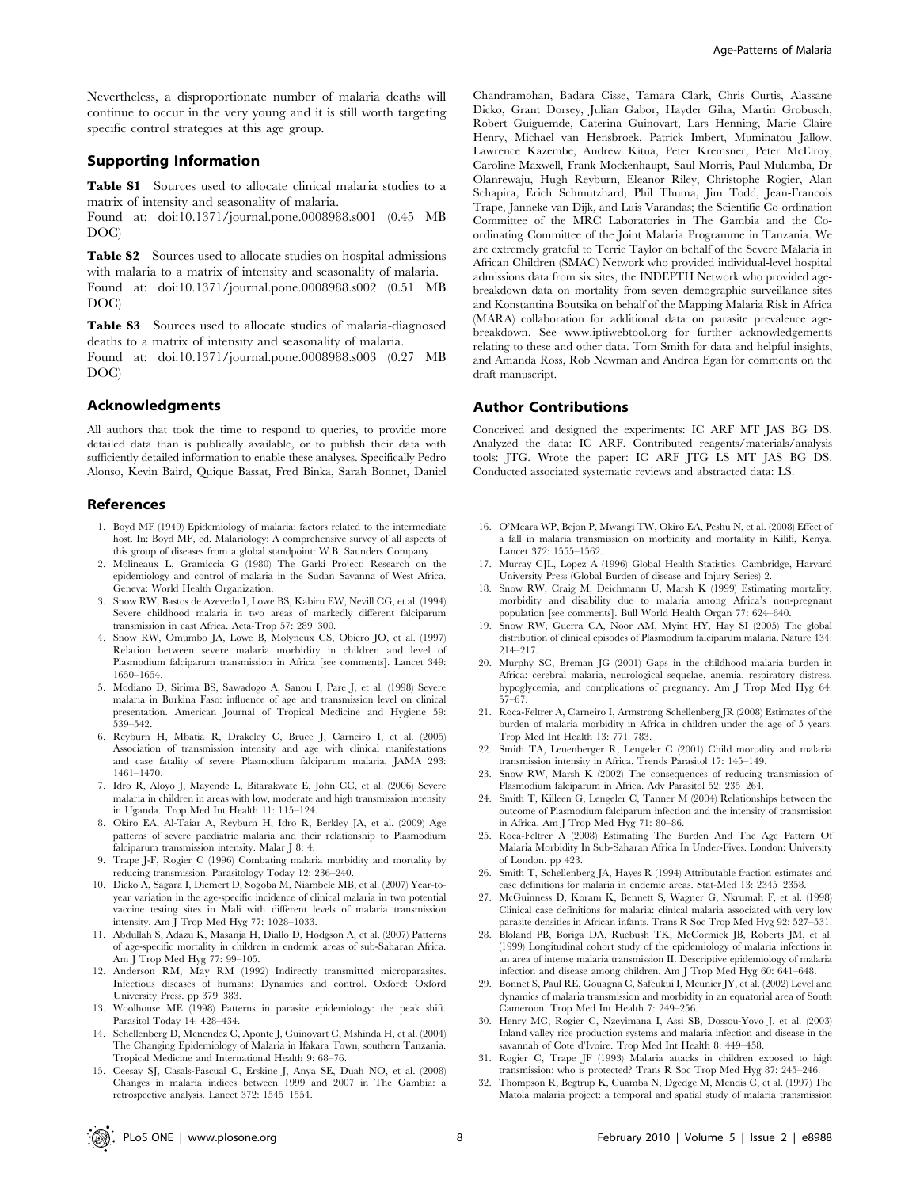Nevertheless, a disproportionate number of malaria deaths will continue to occur in the very young and it is still worth targeting specific control strategies at this age group.

# Supporting Information

Table S1 Sources used to allocate clinical malaria studies to a matrix of intensity and seasonality of malaria.

Found at: doi:10.1371/journal.pone.0008988.s001 (0.45 MB DOC)

Table S2 Sources used to allocate studies on hospital admissions with malaria to a matrix of intensity and seasonality of malaria. Found at: doi:10.1371/journal.pone.0008988.s002 (0.51 MB DOC)

Table S3 Sources used to allocate studies of malaria-diagnosed deaths to a matrix of intensity and seasonality of malaria.

Found at: doi:10.1371/journal.pone.0008988.s003 (0.27 MB DOC)

# Acknowledgments

All authors that took the time to respond to queries, to provide more detailed data than is publically available, or to publish their data with sufficiently detailed information to enable these analyses. Specifically Pedro Alonso, Kevin Baird, Quique Bassat, Fred Binka, Sarah Bonnet, Daniel

#### References

- 1. Boyd MF (1949) Epidemiology of malaria: factors related to the intermediate host. In: Boyd MF, ed. Malariology: A comprehensive survey of all aspects of this group of diseases from a global standpoint: W.B. Saunders Company.
- 2. Molineaux L, Gramiccia G (1980) The Garki Project: Research on the epidemiology and control of malaria in the Sudan Savanna of West Africa. Geneva: World Health Organization.
- 3. Snow RW, Bastos de Azevedo I, Lowe BS, Kabiru EW, Nevill CG, et al. (1994) Severe childhood malaria in two areas of markedly different falciparum transmission in east Africa. Acta-Trop 57: 289–300.
- 4. Snow RW, Omumbo JA, Lowe B, Molyneux CS, Obiero JO, et al. (1997) Relation between severe malaria morbidity in children and level of Plasmodium falciparum transmission in Africa [see comments]. Lancet 349: 1650–1654.
- 5. Modiano D, Sirima BS, Sawadogo A, Sanou I, Pare J, et al. (1998) Severe malaria in Burkina Faso: influence of age and transmission level on clinical presentation. American Journal of Tropical Medicine and Hygiene 59: 539–542.
- 6. Reyburn H, Mbatia R, Drakeley C, Bruce J, Carneiro I, et al. (2005) Association of transmission intensity and age with clinical manifestations and case fatality of severe Plasmodium falciparum malaria. JAMA 293: 1461–1470.
- 7. Idro R, Aloyo J, Mayende L, Bitarakwate E, John CC, et al. (2006) Severe malaria in children in areas with low, moderate and high transmission intensity in Uganda. Trop Med Int Health 11: 115–124.
- 8. Okiro EA, Al-Taiar A, Reyburn H, Idro R, Berkley JA, et al. (2009) Age patterns of severe paediatric malaria and their relationship to Plasmodium falciparum transmission intensity. Malar I 8: 4.
- 9. Trape J-F, Rogier C (1996) Combating malaria morbidity and mortality by reducing transmission. Parasitology Today 12: 236–240.
- 10. Dicko A, Sagara I, Diemert D, Sogoba M, Niambele MB, et al. (2007) Year-toyear variation in the age-specific incidence of clinical malaria in two potential vaccine testing sites in Mali with different levels of malaria transmission intensity. Am J Trop Med Hyg 77: 1028–1033.
- 11. Abdullah S, Adazu K, Masanja H, Diallo D, Hodgson A, et al. (2007) Patterns of age-specific mortality in children in endemic areas of sub-Saharan Africa. Am J Trop Med Hyg 77: 99–105.
- 12. Anderson RM, May RM (1992) Indirectly transmitted microparasites. Infectious diseases of humans: Dynamics and control. Oxford: Oxford University Press. pp 379–383.
- 13. Woolhouse ME (1998) Patterns in parasite epidemiology: the peak shift. Parasitol Today 14: 428–434.
- 14. Schellenberg D, Menendez C, Aponte J, Guinovart C, Mshinda H, et al. (2004) The Changing Epidemiology of Malaria in Ifakara Town, southern Tanzania. Tropical Medicine and International Health 9: 68–76.
- 15. Ceesay SJ, Casals-Pascual C, Erskine J, Anya SE, Duah NO, et al. (2008) Changes in malaria indices between 1999 and 2007 in The Gambia: a retrospective analysis. Lancet 372: 1545–1554.

Chandramohan, Badara Cisse, Tamara Clark, Chris Curtis, Alassane Dicko, Grant Dorsey, Julian Gabor, Hayder Giha, Martin Grobusch, Robert Guiguemde, Caterina Guinovart, Lars Henning, Marie Claire Henry, Michael van Hensbroek, Patrick Imbert, Muminatou Jallow, Lawrence Kazembe, Andrew Kitua, Peter Kremsner, Peter McElroy, Caroline Maxwell, Frank Mockenhaupt, Saul Morris, Paul Mulumba, Dr Olanrewaju, Hugh Reyburn, Eleanor Riley, Christophe Rogier, Alan Schapira, Erich Schmutzhard, Phil Thuma, Jim Todd, Jean-Francois Trape, Janneke van Dijk, and Luis Varandas; the Scientific Co-ordination Committee of the MRC Laboratories in The Gambia and the Coordinating Committee of the Joint Malaria Programme in Tanzania. We are extremely grateful to Terrie Taylor on behalf of the Severe Malaria in African Children (SMAC) Network who provided individual-level hospital admissions data from six sites, the INDEPTH Network who provided agebreakdown data on mortality from seven demographic surveillance sites and Konstantina Boutsika on behalf of the Mapping Malaria Risk in Africa (MARA) collaboration for additional data on parasite prevalence agebreakdown. See www.iptiwebtool.org for further acknowledgements relating to these and other data. Tom Smith for data and helpful insights, and Amanda Ross, Rob Newman and Andrea Egan for comments on the draft manuscript.

# Author Contributions

Conceived and designed the experiments: IC ARF MT JAS BG DS. Analyzed the data: IC ARF. Contributed reagents/materials/analysis tools: JTG. Wrote the paper: IC ARF JTG LS MT JAS BG DS. Conducted associated systematic reviews and abstracted data: LS.

- 16. O'Meara WP, Bejon P, Mwangi TW, Okiro EA, Peshu N, et al. (2008) Effect of a fall in malaria transmission on morbidity and mortality in Kilifi, Kenya. Lancet 372: 1555–1562.
- 17. Murray CJL, Lopez A (1996) Global Health Statistics. Cambridge, Harvard University Press (Global Burden of disease and Injury Series) 2.
- 18. Snow RW, Craig M, Deichmann U, Marsh K (1999) Estimating mortality, morbidity and disability due to malaria among Africa's non-pregnant population [see comments]. Bull World Health Organ 77: 624–640.
- 19. Snow RW, Guerra CA, Noor AM, Myint HY, Hay SI (2005) The global distribution of clinical episodes of Plasmodium falciparum malaria. Nature 434: 214–217.
- 20. Murphy SC, Breman JG (2001) Gaps in the childhood malaria burden in Africa: cerebral malaria, neurological sequelae, anemia, respiratory distress, hypoglycemia, and complications of pregnancy. Am J Trop Med Hyg 64: 57–67.
- 21. Roca-Feltrer A, Carneiro I, Armstrong Schellenberg JR (2008) Estimates of the burden of malaria morbidity in Africa in children under the age of 5 years. Trop Med Int Health 13: 771–783.
- 22. Smith TA, Leuenberger R, Lengeler C (2001) Child mortality and malaria transmission intensity in Africa. Trends Parasitol 17: 145–149.
- 23. Snow RW, Marsh K (2002) The consequences of reducing transmission of Plasmodium falciparum in Africa. Adv Parasitol 52: 235–264.
- 24. Smith T, Killeen G, Lengeler C, Tanner M (2004) Relationships between the outcome of Plasmodium falciparum infection and the intensity of transmission in Africa. Am J Trop Med Hyg 71: 80–86.
- 25. Roca-Feltrer A (2008) Estimating The Burden And The Age Pattern Of Malaria Morbidity In Sub-Saharan Africa In Under-Fives. London: University of London. pp 423.
- 26. Smith T, Schellenberg JA, Hayes R (1994) Attributable fraction estimates and case definitions for malaria in endemic areas. Stat-Med 13: 2345–2358.
- 27. McGuinness D, Koram K, Bennett S, Wagner G, Nkrumah F, et al. (1998) Clinical case definitions for malaria: clinical malaria associated with very low parasite densities in African infants. Trans R Soc Trop Med Hyg 92: 527–531.
- 28. Bloland PB, Boriga DA, Ruebush TK, McCormick JB, Roberts JM, et al. (1999) Longitudinal cohort study of the epidemiology of malaria infections in an area of intense malaria transmission II. Descriptive epidemiology of malaria infection and disease among children. Am J Trop Med Hyg 60: 641–648.
- 29. Bonnet S, Paul RE, Gouagna C, Safeukui I, Meunier JY, et al. (2002) Level and dynamics of malaria transmission and morbidity in an equatorial area of South Cameroon. Trop Med Int Health 7: 249–256.
- 30. Henry MC, Rogier C, Nzeyimana I, Assi SB, Dossou-Yovo J, et al. (2003) Inland valley rice production systems and malaria infection and disease in the savannah of Cote d'Ivoire. Trop Med Int Health 8: 449–458.
- 31. Rogier C, Trape JF (1993) Malaria attacks in children exposed to high transmission: who is protected? Trans R Soc Trop Med Hyg 87: 245–246.
- 32. Thompson R, Begtrup K, Cuamba N, Dgedge M, Mendis C, et al. (1997) The Matola malaria project: a temporal and spatial study of malaria transmission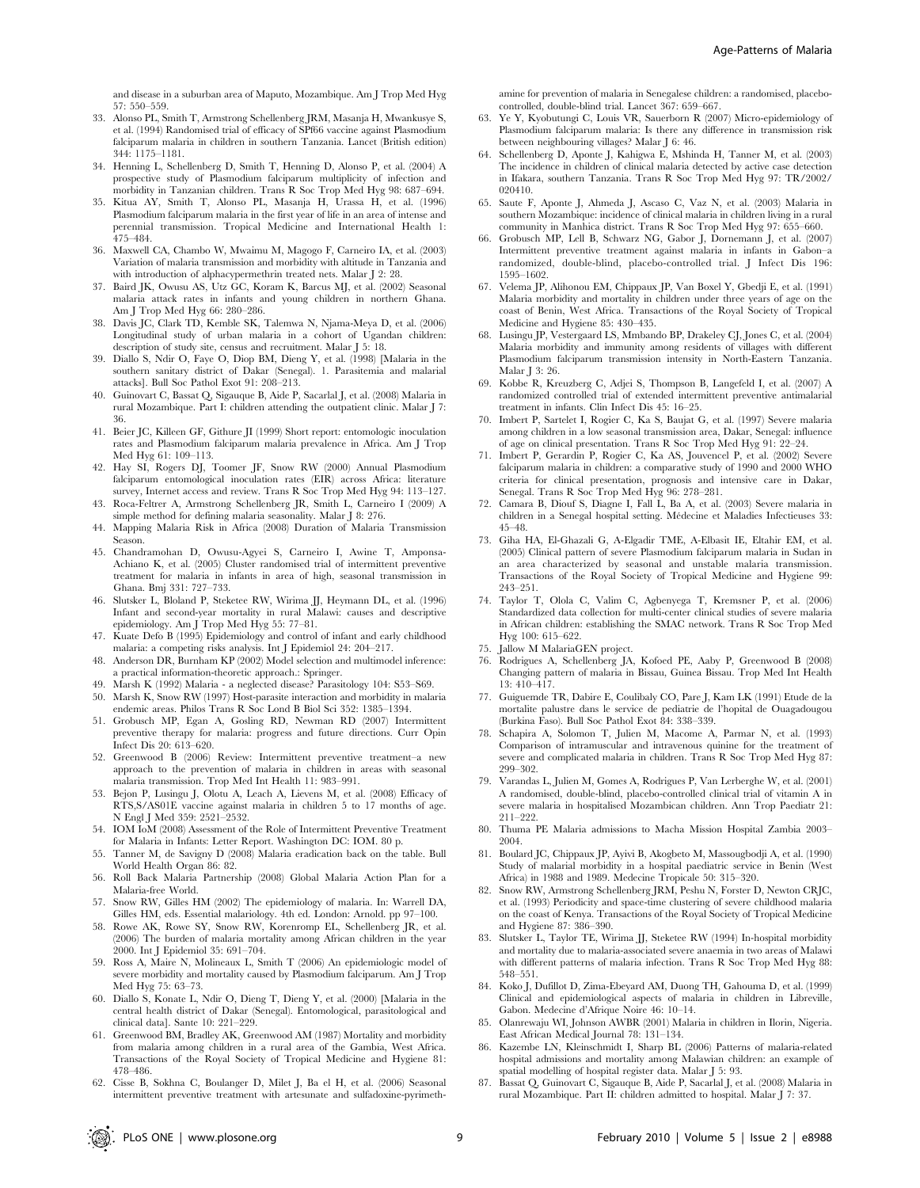and disease in a suburban area of Maputo, Mozambique. Am J Trop Med Hyg 57: 550–559.

- 33. Alonso PL, Smith T, Armstrong Schellenberg JRM, Masanja H, Mwankusye S, et al. (1994) Randomised trial of efficacy of SPf66 vaccine against Plasmodium falciparum malaria in children in southern Tanzania. Lancet (British edition) 344: 1175–1181.
- 34. Henning L, Schellenberg D, Smith T, Henning D, Alonso P, et al. (2004) A prospective study of Plasmodium falciparum multiplicity of infection and morbidity in Tanzanian children. Trans R Soc Trop Med Hyg 98: 687–694.
- 35. Kitua AY, Smith T, Alonso PL, Masanja H, Urassa H, et al. (1996) Plasmodium falciparum malaria in the first year of life in an area of intense and perennial transmission. Tropical Medicine and International Health 1: 475–484.
- 36. Maxwell CA, Chambo W, Mwaimu M, Magogo F, Carneiro IA, et al. (2003) Variation of malaria transmission and morbidity with altitude in Tanzania and with introduction of alphacypermethrin treated nets. Malar J 2: 28.
- 37. Baird JK, Owusu AS, Utz GC, Koram K, Barcus MJ, et al. (2002) Seasonal malaria attack rates in infants and young children in northern Ghana. Am J Trop Med Hyg 66: 280–286.
- 38. Davis JC, Clark TD, Kemble SK, Talemwa N, Njama-Meya D, et al. (2006) Longitudinal study of urban malaria in a cohort of Ugandan children: description of study site, census and recruitment. Malar J 5: 18.
- 39. Diallo S, Ndir O, Faye O, Diop BM, Dieng Y, et al. (1998) [Malaria in the southern sanitary district of Dakar (Senegal). 1. Parasitemia and malarial attacks]. Bull Soc Pathol Exot 91: 208–213.
- 40. Guinovart C, Bassat Q, Sigauque B, Aide P, Sacarlal J, et al. (2008) Malaria in rural Mozambique. Part I: children attending the outpatient clinic. Malar J 7: 36.
- 41. Beier JC, Killeen GF, Githure JI (1999) Short report: entomologic inoculation rates and Plasmodium falciparum malaria prevalence in Africa. Am J Trop Med Hyg 61: 109–113.
- 42. Hay SI, Rogers DJ, Toomer JF, Snow RW (2000) Annual Plasmodium falciparum entomological inoculation rates (EIR) across Africa: literature survey, Internet access and review. Trans R Soc Trop Med Hyg 94: 113-127.
- 43. Roca-Feltrer A, Armstrong Schellenberg JR, Smith L, Carneiro I (2009) A simple method for defining malaria seasonality. Malar J 8: 276.
- 44. Mapping Malaria Risk in Africa (2008) Duration of Malaria Transmission Season.
- 45. Chandramohan D, Owusu-Agyei S, Carneiro I, Awine T, Amponsa-Achiano K, et al. (2005) Cluster randomised trial of intermittent preventive treatment for malaria in infants in area of high, seasonal transmission in Ghana. Bmj 331: 727–733.
- 46. Slutsker L, Bloland P, Steketee RW, Wirima JJ, Heymann DL, et al. (1996) Infant and second-year mortality in rural Malawi: causes and descriptive epidemiology. Am J Trop Med Hyg 55: 77–81.
- 47. Kuate Defo B (1995) Epidemiology and control of infant and early childhood malaria: a competing risks analysis. Int J Epidemiol 24: 204–217.
- 48. Anderson DR, Burnham KP (2002) Model selection and multimodel inference: a practical information-theoretic approach.: Springer.
- 49. Marsh K (1992) Malaria a neglected disease? Parasitology 104: S53–S69.
- 50. Marsh K, Snow RW (1997) Host-parasite interaction and morbidity in malaria endemic areas. Philos Trans R Soc Lond B Biol Sci 352: 1385–1394.
- 51. Grobusch MP, Egan A, Gosling RD, Newman RD (2007) Intermittent preventive therapy for malaria: progress and future directions. Curr Opin Infect Dis 20: 613–620.
- 52. Greenwood B (2006) Review: Intermittent preventive treatment–a new approach to the prevention of malaria in children in areas with seasonal malaria transmission. Trop Med Int Health 11: 983–991.
- 53. Bejon P, Lusingu J, Olotu A, Leach A, Lievens M, et al. (2008) Efficacy of RTS,S/AS01E vaccine against malaria in children 5 to 17 months of age. N Engl J Med 359: 2521–2532.
- 54. IOM IoM (2008) Assessment of the Role of Intermittent Preventive Treatment for Malaria in Infants: Letter Report. Washington DC: IOM. 80 p.
- 55. Tanner M, de Savigny D (2008) Malaria eradication back on the table. Bull World Health Organ 86: 82.
- 56. Roll Back Malaria Partnership (2008) Global Malaria Action Plan for a Malaria-free World.
- 57. Snow RW, Gilles HM (2002) The epidemiology of malaria. In: Warrell DA, Gilles HM, eds. Essential malariology. 4th ed. London: Arnold. pp 97–100.
- 58. Rowe AK, Rowe SY, Snow RW, Korenromp EL, Schellenberg JR, et al. (2006) The burden of malaria mortality among African children in the year 2000. Int J Epidemiol 35: 691–704.
- 59. Ross A, Maire N, Molineaux L, Smith T (2006) An epidemiologic model of severe morbidity and mortality caused by Plasmodium falciparum. Am J Trop Med Hyg 75: 63–73.
- 60. Diallo S, Konate L, Ndir O, Dieng T, Dieng Y, et al. (2000) [Malaria in the central health district of Dakar (Senegal). Entomological, parasitological and clinical data]. Sante 10: 221–229.
- 61. Greenwood BM, Bradley AK, Greenwood AM (1987) Mortality and morbidity from malaria among children in a rural area of the Gambia, West Africa. Transactions of the Royal Society of Tropical Medicine and Hygiene 81: 478–486.
- 62. Cisse B, Sokhna C, Boulanger D, Milet J, Ba el H, et al. (2006) Seasonal intermittent preventive treatment with artesunate and sulfadoxine-pyrimeth-

amine for prevention of malaria in Senegalese children: a randomised, placebocontrolled, double-blind trial. Lancet 367: 659–667.

- 63. Ye Y, Kyobutungi C, Louis VR, Sauerborn R (2007) Micro-epidemiology of Plasmodium falciparum malaria: Is there any difference in transmission risk between neighbouring villages? Malar J 6: 46.
- 64. Schellenberg D, Aponte J, Kahigwa E, Mshinda H, Tanner M, et al. (2003) The incidence in children of clinical malaria detected by active case detection in Ifakara, southern Tanzania. Trans R Soc Trop Med Hyg 97: TR/2002/ 020410.
- 65. Saute F, Aponte J, Ahmeda J, Ascaso C, Vaz N, et al. (2003) Malaria in southern Mozambique: incidence of clinical malaria in children living in a rural community in Manhica district. Trans R Soc Trop Med Hyg 97: 655–660.
- 66. Grobusch MP, Lell B, Schwarz NG, Gabor J, Dornemann J, et al. (2007) Intermittent preventive treatment against malaria in infants in Gabon–a randomized, double-blind, placebo-controlled trial. J Infect Dis 196: 1595–1602.
- 67. Velema JP, Alihonou EM, Chippaux JP, Van Boxel Y, Gbedji E, et al. (1991) Malaria morbidity and mortality in children under three years of age on the coast of Benin, West Africa. Transactions of the Royal Society of Tropical Medicine and Hygiene 85: 430–435.
- 68. Lusingu JP, Vestergaard LS, Mmbando BP, Drakeley CJ, Jones C, et al. (2004) Malaria morbidity and immunity among residents of villages with different Plasmodium falciparum transmission intensity in North-Eastern Tanzania. Malar J 3: 26.
- 69. Kobbe R, Kreuzberg C, Adjei S, Thompson B, Langefeld I, et al. (2007) A randomized controlled trial of extended intermittent preventive antimalarial treatment in infants. Clin Infect Dis 45: 16–25.
- 70. Imbert P, Sartelet I, Rogier C, Ka S, Baujat G, et al. (1997) Severe malaria among children in a low seasonal transmission area, Dakar, Senegal: influence of age on clinical presentation. Trans R Soc Trop Med Hyg 91: 22–24.
- 71. Imbert P, Gerardin P, Rogier C, Ka AS, Jouvencel P, et al. (2002) Severe falciparum malaria in children: a comparative study of 1990 and 2000 WHO criteria for clinical presentation, prognosis and intensive care in Dakar, Senegal. Trans R Soc Trop Med Hyg 96: 278–281.
- 72. Camara B, Diouf S, Diagne I, Fall L, Ba A, et al. (2003) Severe malaria in children in a Senegal hospital setting. Médecine et Maladies Infectieuses 33: 45–48.
- 73. Giha HA, El-Ghazali G, A-Elgadir TME, A-Elbasit IE, Eltahir EM, et al. (2005) Clinical pattern of severe Plasmodium falciparum malaria in Sudan in an area characterized by seasonal and unstable malaria transmission. Transactions of the Royal Society of Tropical Medicine and Hygiene 99: 243–251.
- 74. Taylor T, Olola C, Valim C, Agbenyega T, Kremsner P, et al. (2006) Standardized data collection for multi-center clinical studies of severe malaria in African children: establishing the SMAC network. Trans R Soc Trop Med Hyg 100: 615–622.
- 75. Jallow M MalariaGEN project.
- 76. Rodrigues A, Schellenberg JA, Kofoed PE, Aaby P, Greenwood B (2008) Changing pattern of malaria in Bissau, Guinea Bissau. Trop Med Int Health 13: 410–417.
- 77. Guiguemde TR, Dabire E, Coulibaly CO, Pare J, Kam LK (1991) Etude de la mortalite palustre dans le service de pediatrie de l'hopital de Ouagadougou (Burkina Faso). Bull Soc Pathol Exot 84: 338–339.
- 78. Schapira A, Solomon T, Julien M, Macome A, Parmar N, et al. (1993) Comparison of intramuscular and intravenous quinine for the treatment of severe and complicated malaria in children. Trans R Soc Trop Med Hyg 87: 299–302.
- 79. Varandas L, Julien M, Gomes A, Rodrigues P, Van Lerberghe W, et al. (2001) A randomised, double-blind, placebo-controlled clinical trial of vitamin A in severe malaria in hospitalised Mozambican children. Ann Trop Paediatr 21: 211–222.
- 80. Thuma PE Malaria admissions to Macha Mission Hospital Zambia 2003– 2004.
- 81. Boulard JC, Chippaux JP, Ayivi B, Akogbeto M, Massougbodji A, et al. (1990) Study of malarial morbidity in a hospital paediatric service in Benin (West Africa) in 1988 and 1989. Medecine Tropicale 50: 315–320.
- 82. Snow RW, Armstrong Schellenberg JRM, Peshu N, Forster D, Newton CRJC, et al. (1993) Periodicity and space-time clustering of severe childhood malaria on the coast of Kenya. Transactions of the Royal Society of Tropical Medicine and Hygiene 87: 386–390.
- 83. Slutsker L, Taylor TE, Wirima JJ, Steketee RW (1994) In-hospital morbidity and mortality due to malaria-associated severe anaemia in two areas of Malawi with different patterns of malaria infection. Trans R Soc Trop Med Hyg 88: 548–551.
- 84. Koko J, Dufillot D, Zima-Ebeyard AM, Duong TH, Gahouma D, et al. (1999) Clinical and epidemiological aspects of malaria in children in Libreville, Gabon. Medecine d'Afrique Noire 46: 10–14.
- 85. Olanrewaju WI, Johnson AWBR (2001) Malaria in children in Ilorin, Nigeria. East African Medical Journal 78: 131–134.
- 86. Kazembe LN, Kleinschmidt I, Sharp BL (2006) Patterns of malaria-related hospital admissions and mortality among Malawian children: an example of spatial modelling of hospital register data. Malar J 5: 93.
- 87. Bassat Q, Guinovart C, Sigauque B, Aide P, Sacarlal J, et al. (2008) Malaria in rural Mozambique. Part II: children admitted to hospital. Malar J 7: 37.